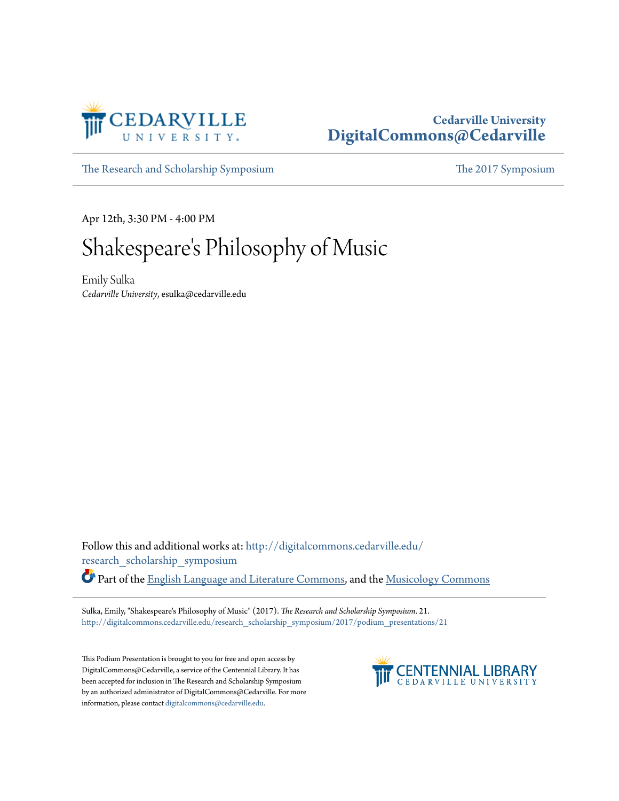

## **Cedarville University [DigitalCommons@Cedarville](http://digitalcommons.cedarville.edu?utm_source=digitalcommons.cedarville.edu%2Fresearch_scholarship_symposium%2F2017%2Fpodium_presentations%2F21&utm_medium=PDF&utm_campaign=PDFCoverPages)**

[The Research and Scholarship Symposium](http://digitalcommons.cedarville.edu/research_scholarship_symposium?utm_source=digitalcommons.cedarville.edu%2Fresearch_scholarship_symposium%2F2017%2Fpodium_presentations%2F21&utm_medium=PDF&utm_campaign=PDFCoverPages) [The 2017 Symposium](http://digitalcommons.cedarville.edu/research_scholarship_symposium/2017?utm_source=digitalcommons.cedarville.edu%2Fresearch_scholarship_symposium%2F2017%2Fpodium_presentations%2F21&utm_medium=PDF&utm_campaign=PDFCoverPages)

Apr 12th, 3:30 PM - 4:00 PM

## Shakespeare 's Philosophy of Music

Emily Sulka *Cedarville University*, esulka@cedarville.edu

Follow this and additional works at: [http://digitalcommons.cedarville.edu/](http://digitalcommons.cedarville.edu/research_scholarship_symposium?utm_source=digitalcommons.cedarville.edu%2Fresearch_scholarship_symposium%2F2017%2Fpodium_presentations%2F21&utm_medium=PDF&utm_campaign=PDFCoverPages) [research\\_scholarship\\_symposium](http://digitalcommons.cedarville.edu/research_scholarship_symposium?utm_source=digitalcommons.cedarville.edu%2Fresearch_scholarship_symposium%2F2017%2Fpodium_presentations%2F21&utm_medium=PDF&utm_campaign=PDFCoverPages) Part of the [English Language and Literature Commons](http://network.bepress.com/hgg/discipline/455?utm_source=digitalcommons.cedarville.edu%2Fresearch_scholarship_symposium%2F2017%2Fpodium_presentations%2F21&utm_medium=PDF&utm_campaign=PDFCoverPages), and the [Musicology Commons](http://network.bepress.com/hgg/discipline/521?utm_source=digitalcommons.cedarville.edu%2Fresearch_scholarship_symposium%2F2017%2Fpodium_presentations%2F21&utm_medium=PDF&utm_campaign=PDFCoverPages)

Sulka, Emily, "Shakespeare's Philosophy of Music" (2017). *The Research and Scholarship Symposium*. 21. [http://digitalcommons.cedarville.edu/research\\_scholarship\\_symposium/2017/podium\\_presentations/21](http://digitalcommons.cedarville.edu/research_scholarship_symposium/2017/podium_presentations/21?utm_source=digitalcommons.cedarville.edu%2Fresearch_scholarship_symposium%2F2017%2Fpodium_presentations%2F21&utm_medium=PDF&utm_campaign=PDFCoverPages)

This Podium Presentation is brought to you for free and open access by DigitalCommons@Cedarville, a service of the Centennial Library. It has been accepted for inclusion in The Research and Scholarship Symposium by an authorized administrator of DigitalCommons@Cedarville. For more information, please contact [digitalcommons@cedarville.edu.](mailto:digitalcommons@cedarville.edu)